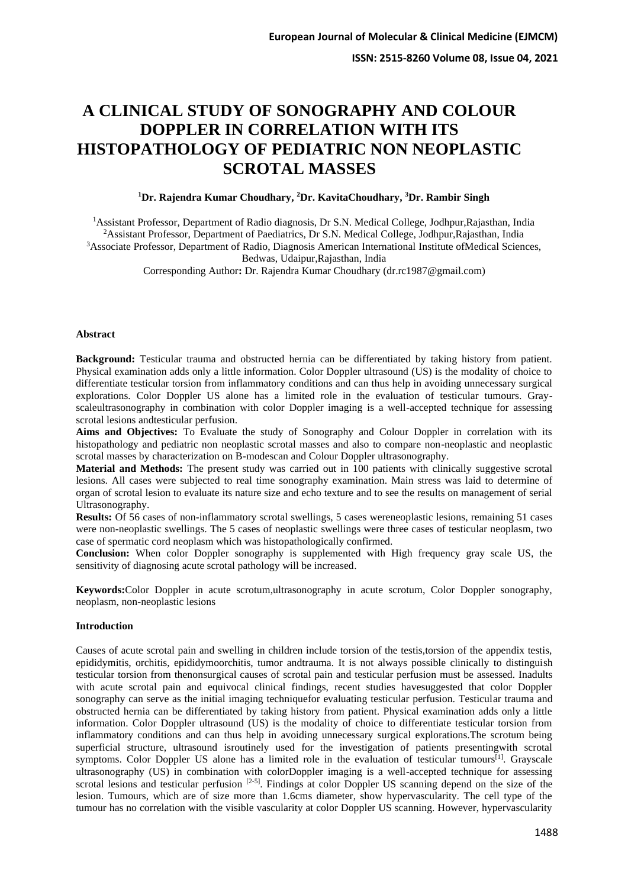# **A CLINICAL STUDY OF SONOGRAPHY AND COLOUR DOPPLER IN CORRELATION WITH ITS HISTOPATHOLOGY OF PEDIATRIC NON NEOPLASTIC SCROTAL MASSES**

### **<sup>1</sup>Dr. Rajendra Kumar Choudhary, <sup>2</sup>Dr. KavitaChoudhary, <sup>3</sup>Dr. Rambir Singh**

<sup>1</sup>Assistant Professor, Department of Radio diagnosis, Dr S.N. Medical College, Jodhpur,Rajasthan, India <sup>2</sup>Assistant Professor, Department of Paediatrics, Dr S.N. Medical College, Jodhpur,Rajasthan, India <sup>3</sup>Associate Professor, Department of Radio, Diagnosis American International Institute of Medical Sciences, Bedwas, Udaipur,Rajasthan, India Corresponding Author**:** Dr. Rajendra Kumar Choudhary (dr.rc1987@gmail.com)

#### **Abstract**

Background: Testicular trauma and obstructed hernia can be differentiated by taking history from patient. Physical examination adds only a little information. Color Doppler ultrasound (US) is the modality of choice to differentiate testicular torsion from inflammatory conditions and can thus help in avoiding unnecessary surgical explorations. Color Doppler US alone has a limited role in the evaluation of testicular tumours. Grayscaleultrasonography in combination with color Doppler imaging is a well-accepted technique for assessing scrotal lesions andtesticular perfusion.

**Aims and Objectives:** To Evaluate the study of Sonography and Colour Doppler in correlation with its histopathology and pediatric non neoplastic scrotal masses and also to compare non-neoplastic and neoplastic scrotal masses by characterization on B-modescan and Colour Doppler ultrasonography.

**Material and Methods:** The present study was carried out in 100 patients with clinically suggestive scrotal lesions. All cases were subjected to real time sonography examination. Main stress was laid to determine of organ of scrotal lesion to evaluate its nature size and echo texture and to see the results on management of serial Ultrasonography.

**Results:** Of 56 cases of non-inflammatory scrotal swellings, 5 cases wereneoplastic lesions, remaining 51 cases were non-neoplastic swellings. The 5 cases of neoplastic swellings were three cases of testicular neoplasm, two case of spermatic cord neoplasm which was histopathologically confirmed.

**Conclusion:** When color Doppler sonography is supplemented with High frequency gray scale US, the sensitivity of diagnosing acute scrotal pathology will be increased.

**Keywords:**Color Doppler in acute scrotum,ultrasonography in acute scrotum, Color Doppler sonography, neoplasm, non-neoplastic lesions

#### **Introduction**

Causes of acute scrotal pain and swelling in children include torsion of the testis,torsion of the appendix testis, epididymitis, orchitis, epididymoorchitis, tumor andtrauma. It is not always possible clinically to distinguish testicular torsion from thenonsurgical causes of scrotal pain and testicular perfusion must be assessed. Inadults with acute scrotal pain and equivocal clinical findings, recent studies havesuggested that color Doppler sonography can serve as the initial imaging techniquefor evaluating testicular perfusion. Testicular trauma and obstructed hernia can be differentiated by taking history from patient. Physical examination adds only a little information. Color Doppler ultrasound (US) is the modality of choice to differentiate testicular torsion from inflammatory conditions and can thus help in avoiding unnecessary surgical explorations.The scrotum being superficial structure, ultrasound isroutinely used for the investigation of patients presentingwith scrotal symptoms. Color Doppler US alone has a limited role in the evaluation of testicular tumours<sup>[1]</sup>. Grayscale ultrasonography (US) in combination with colorDoppler imaging is a well-accepted technique for assessing scrotal lesions and testicular perfusion <sup>[2-5]</sup>. Findings at color Doppler US scanning depend on the size of the lesion. Tumours, which are of size more than 1.6cms diameter, show hypervascularity. The cell type of the tumour has no correlation with the visible vascularity at color Doppler US scanning. However, hypervascularity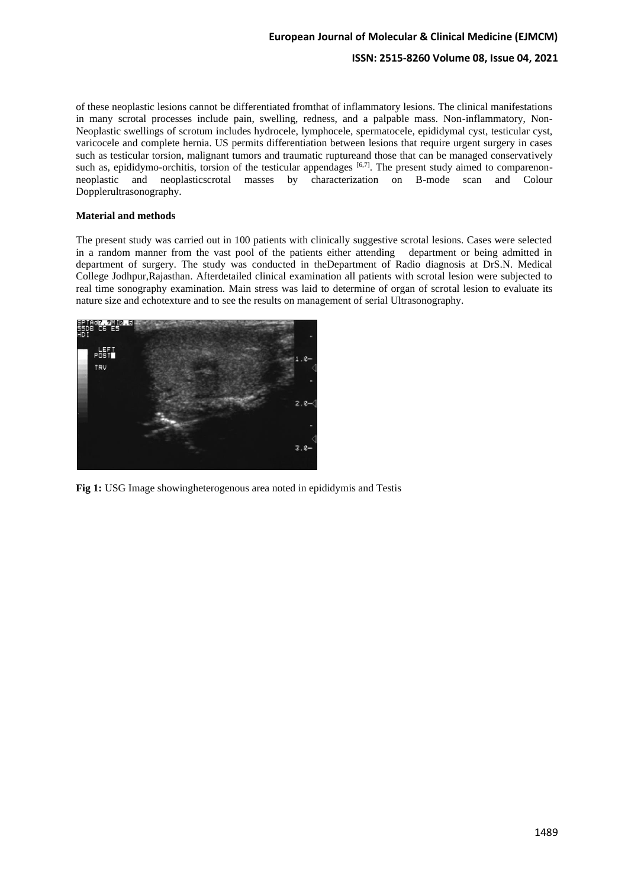## **European Journal of Molecular & Clinical Medicine (EJMCM)**

# **ISSN: 2515-8260 Volume 08, Issue 04, 2021**

of these neoplastic lesions cannot be differentiated fromthat of inflammatory lesions. The clinical manifestations in many scrotal processes include pain, swelling, redness, and a palpable mass. Non-inflammatory, Non-Neoplastic swellings of scrotum includes hydrocele, lymphocele, spermatocele, epididymal cyst, testicular cyst, varicocele and complete hernia. US permits differentiation between lesions that require urgent surgery in cases such as testicular torsion, malignant tumors and traumatic ruptureand those that can be managed conservatively such as, epididymo-orchitis, torsion of the testicular appendages [6,7]. The present study aimed to comparenonneoplastic and neoplasticscrotal masses by characterization on B-mode scan and Colour Dopplerultrasonography.

#### **Material and methods**

The present study was carried out in 100 patients with clinically suggestive scrotal lesions. Cases were selected in a random manner from the vast pool of the patients either attending department or being admitted in department of surgery. The study was conducted in theDepartment of Radio diagnosis at DrS.N. Medical College Jodhpur,Rajasthan. Afterdetailed clinical examination all patients with scrotal lesion were subjected to real time sonography examination. Main stress was laid to determine of organ of scrotal lesion to evaluate its nature size and echotexture and to see the results on management of serial Ultrasonography.



**Fig 1:** USG Image showingheterogenous area noted in epididymis and Testis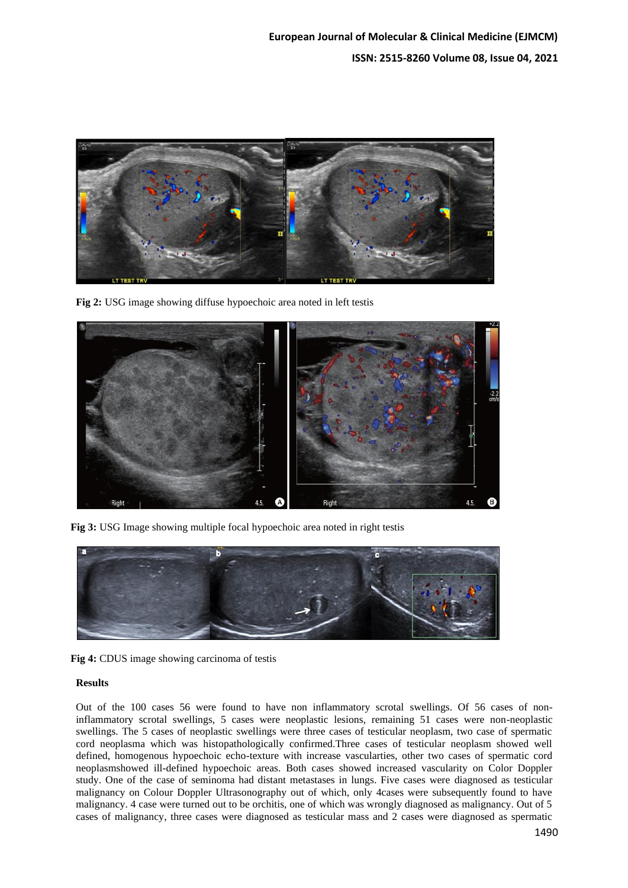

**Fig 2:** USG image showing diffuse hypoechoic area noted in left testis



**Fig 3:** USG Image showing multiple focal hypoechoic area noted in right testis



**Fig 4:** CDUS image showing carcinoma of testis

#### **Results**

Out of the 100 cases 56 were found to have non inflammatory scrotal swellings. Of 56 cases of noninflammatory scrotal swellings, 5 cases were neoplastic lesions, remaining 51 cases were non-neoplastic swellings. The 5 cases of neoplastic swellings were three cases of testicular neoplasm, two case of spermatic cord neoplasma which was histopathologically confirmed.Three cases of testicular neoplasm showed well defined, homogenous hypoechoic echo-texture with increase vascularties, other two cases of spermatic cord neoplasmshowed ill-defined hypoechoic areas. Both cases showed increased vascularity on Color Doppler study. One of the case of seminoma had distant metastases in lungs. Five cases were diagnosed as testicular malignancy on Colour Doppler Ultrasonography out of which, only 4cases were subsequently found to have malignancy. 4 case were turned out to be orchitis, one of which was wrongly diagnosed as malignancy. Out of 5 cases of malignancy, three cases were diagnosed as testicular mass and 2 cases were diagnosed as spermatic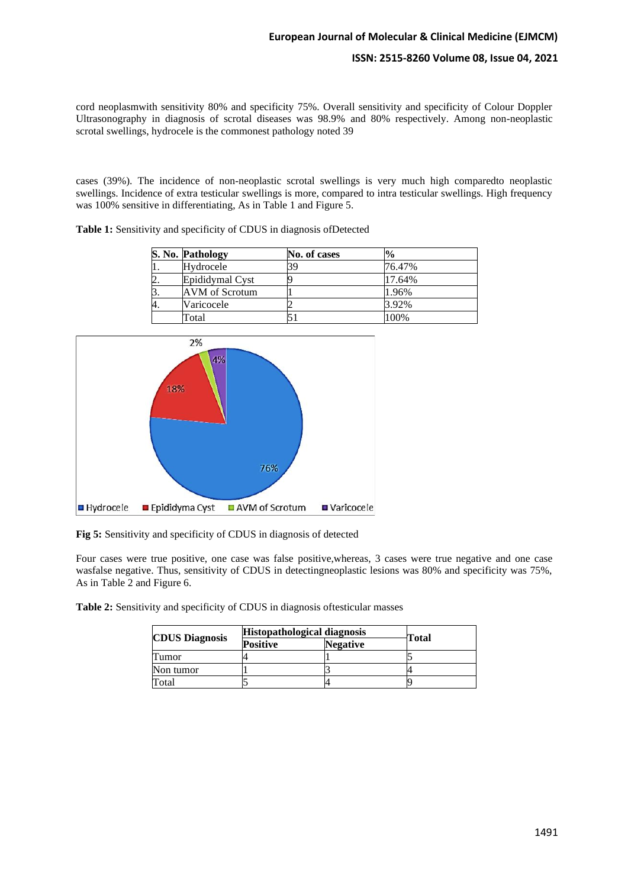#### **ISSN: 2515-8260 Volume 08, Issue 04, 2021**

cord neoplasmwith sensitivity 80% and specificity 75%. Overall sensitivity and specificity of Colour Doppler Ultrasonography in diagnosis of scrotal diseases was 98.9% and 80% respectively. Among non-neoplastic scrotal swellings, hydrocele is the commonest pathology noted 39

cases (39%). The incidence of non-neoplastic scrotal swellings is very much high comparedto neoplastic swellings. Incidence of extra testicular swellings is more, compared to intra testicular swellings. High frequency was 100% sensitive in differentiating, As in Table 1 and Figure 5.

|  |  |  | Table 1: Sensitivity and specificity of CDUS in diagnosis of Detected |
|--|--|--|-----------------------------------------------------------------------|
|--|--|--|-----------------------------------------------------------------------|

|           | S. No. Pathology | No. of cases | $^{10}/_0$ |
|-----------|------------------|--------------|------------|
|           | Hydrocele        | 39           | 76.47%     |
| <u>L.</u> | Epididymal Cyst  |              | 17.64%     |
|           | AVM of Scrotum   |              | 1.96%      |
|           | Varicocele       |              | 3.92%      |
|           | Total            |              | 100%       |



**Fig 5:** Sensitivity and specificity of CDUS in diagnosis of detected

Four cases were true positive, one case was false positive,whereas, 3 cases were true negative and one case wasfalse negative. Thus, sensitivity of CDUS in detectingneoplastic lesions was 80% and specificity was 75%, As in Table 2 and Figure 6.

**Table 2:** Sensitivity and specificity of CDUS in diagnosis oftesticular masses

|                       | <b>Histopathological diagnosis</b> |                 |       |
|-----------------------|------------------------------------|-----------------|-------|
| <b>CDUS Diagnosis</b> | <b>Positive</b>                    | <b>Negative</b> | Total |
| Tumor                 |                                    |                 |       |
| Non tumor             |                                    |                 |       |
| Total                 |                                    |                 |       |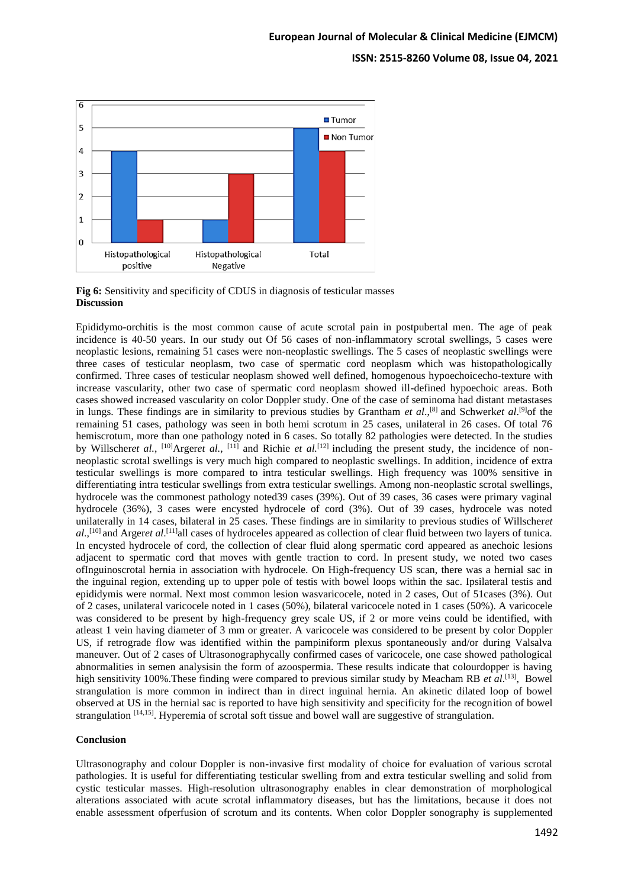#### **ISSN: 2515-8260 Volume 08, Issue 04, 2021**



**Fig 6:** Sensitivity and specificity of CDUS in diagnosis of testicular masses **Discussion**

Epididymo-orchitis is the most common cause of acute scrotal pain in postpubertal men. The age of peak incidence is 40-50 years. In our study out Of 56 cases of non-inflammatory scrotal swellings, 5 cases were neoplastic lesions, remaining 51 cases were non-neoplastic swellings. The 5 cases of neoplastic swellings were three cases of testicular neoplasm, two case of spermatic cord neoplasm which was histopathologically confirmed. Three cases of testicular neoplasm showed well defined, homogenous hypoechoicecho-texture with increase vascularity, other two case of spermatic cord neoplasm showed ill-defined hypoechoic areas. Both cases showed increased vascularity on color Doppler study. One of the case of seminoma had distant metastases in lungs. These findings are in similarity to previous studies by Grantham *et al.*,<sup>[8]</sup> and Schwerk*et al.*<sup>[9]</sup> of the remaining 51 cases, pathology was seen in both hemi scrotum in 25 cases, unilateral in 26 cases. Of total 76 hemiscrotum, more than one pathology noted in 6 cases. So totally 82 pathologies were detected. In the studies by Willscheret al., <sup>[10]</sup>Argeret al., <sup>[11]</sup> and Richie et al.<sup>[12]</sup> including the present study, the incidence of nonneoplastic scrotal swellings is very much high compared to neoplastic swellings. In addition, incidence of extra testicular swellings is more compared to intra testicular swellings. High frequency was 100% sensitive in differentiating intra testicular swellings from extra testicular swellings. Among non-neoplastic scrotal swellings, hydrocele was the commonest pathology noted39 cases (39%). Out of 39 cases, 36 cases were primary vaginal hydrocele (36%), 3 cases were encysted hydrocele of cord (3%). Out of 39 cases, hydrocele was noted unilaterally in 14 cases, bilateral in 25 cases. These findings are in similarity to previous studies of Willscher*et*  al.,<sup>[10]</sup> and Argeret al.<sup>[11]</sup>all cases of hydroceles appeared as collection of clear fluid between two layers of tunica. In encysted hydrocele of cord, the collection of clear fluid along spermatic cord appeared as anechoic lesions adjacent to spermatic cord that moves with gentle traction to cord. In present study, we noted two cases ofInguinoscrotal hernia in association with hydrocele. On High-frequency US scan, there was a hernial sac in the inguinal region, extending up to upper pole of testis with bowel loops within the sac. Ipsilateral testis and epididymis were normal. Next most common lesion wasvaricocele, noted in 2 cases, Out of 51cases (3%). Out of 2 cases, unilateral varicocele noted in 1 cases (50%), bilateral varicocele noted in 1 cases (50%). A varicocele was considered to be present by high-frequency grey scale US, if 2 or more veins could be identified, with atleast 1 vein having diameter of 3 mm or greater. A varicocele was considered to be present by color Doppler US, if retrograde flow was identified within the pampiniform plexus spontaneously and/or during Valsalva maneuver. Out of 2 cases of Ultrasonographycally confirmed cases of varicocele, one case showed pathological abnormalities in semen analysisin the form of azoospermia. These results indicate that colourdopper is having high sensitivity 100%.These finding were compared to previous similar study by Meacham RB *et al*. [13], Bowel strangulation is more common in indirect than in direct inguinal hernia. An akinetic dilated loop of bowel observed at US in the hernial sac is reported to have high sensitivity and specificity for the recognition of bowel strangulation <sup>[14,15]</sup>. Hyperemia of scrotal soft tissue and bowel wall are suggestive of strangulation.

#### **Conclusion**

Ultrasonography and colour Doppler is non-invasive first modality of choice for evaluation of various scrotal pathologies. It is useful for differentiating testicular swelling from and extra testicular swelling and solid from cystic testicular masses. High-resolution ultrasonography enables in clear demonstration of morphological alterations associated with acute scrotal inflammatory diseases, but has the limitations, because it does not enable assessment ofperfusion of scrotum and its contents. When color Doppler sonography is supplemented